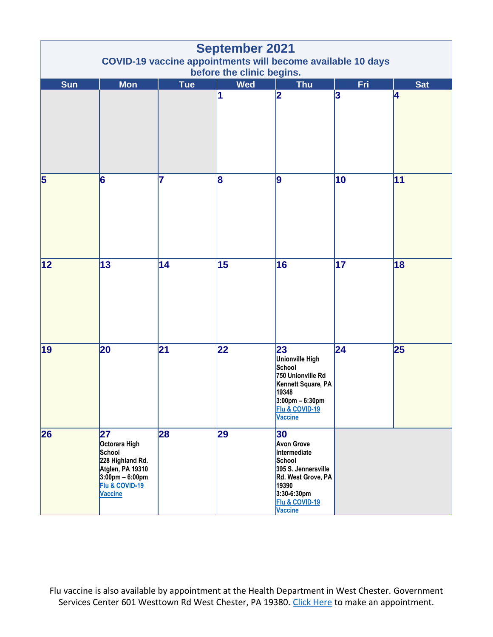| <b>September 2021</b><br><b>COVID-19 vaccine appointments will become available 10 days</b><br>before the clinic begins. |                                                                                                                                                |            |            |                                                                                                                                                            |            |            |  |  |  |  |
|--------------------------------------------------------------------------------------------------------------------------|------------------------------------------------------------------------------------------------------------------------------------------------|------------|------------|------------------------------------------------------------------------------------------------------------------------------------------------------------|------------|------------|--|--|--|--|
| <b>Sun</b>                                                                                                               | <b>Mon</b>                                                                                                                                     | <b>Tue</b> | <b>Wed</b> | <b>Thu</b>                                                                                                                                                 | <b>Fri</b> | <b>Sat</b> |  |  |  |  |
|                                                                                                                          |                                                                                                                                                |            | 1          | 2                                                                                                                                                          | 3          | 4          |  |  |  |  |
| $\overline{\mathbf{5}}$                                                                                                  | 6                                                                                                                                              | 7          | 8          | 9                                                                                                                                                          | 10         | 11         |  |  |  |  |
| 12                                                                                                                       | 13                                                                                                                                             | 14         | 15         | 16                                                                                                                                                         | 17         | 18         |  |  |  |  |
| 19                                                                                                                       | 20                                                                                                                                             | 21         | 22         | 23<br>Unionville High<br>School<br>750 Unionville Rd<br>Kennett Square, PA<br>19348<br>$3:00 \text{pm} - 6:30 \text{pm}$<br>Flu & COVID-19<br>Vaccine      | 24         | 25         |  |  |  |  |
| 26                                                                                                                       | 27<br>Octorara High<br>School<br>228 Highland Rd.<br>Atglen, PA 19310<br>$3:00 \text{pm} - 6:00 \text{pm}$<br>Flu & COVID-19<br><b>Vaccine</b> | 28         | 29         | 30<br><b>Avon Grove</b><br>Intermediate<br>School<br>395 S. Jennersville<br>Rd. West Grove, PA<br>19390<br>3:30-6:30pm<br>Flu & COVID-19<br><b>Vaccine</b> |            |            |  |  |  |  |

Flu vaccine is also available by appointment at the Health Department in West Chester. Government Services Center 601 Westtown Rd West Chester, PA 19380. [Click Here](https://chescohealth.as.me/fluvaccine) to make an appointment.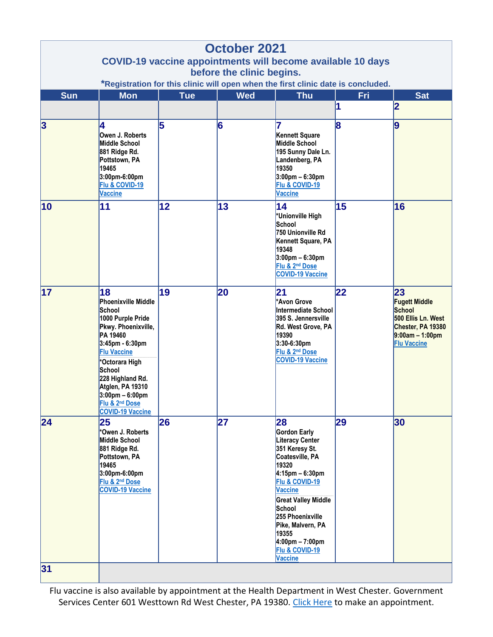| <b>October 2021</b>                                                              |                                                                                                                                                                                                                                                                                                        |            |            |                                                                                                                                                                                                                                                                                                                         |     |                                                                                                                            |  |  |  |  |  |
|----------------------------------------------------------------------------------|--------------------------------------------------------------------------------------------------------------------------------------------------------------------------------------------------------------------------------------------------------------------------------------------------------|------------|------------|-------------------------------------------------------------------------------------------------------------------------------------------------------------------------------------------------------------------------------------------------------------------------------------------------------------------------|-----|----------------------------------------------------------------------------------------------------------------------------|--|--|--|--|--|
|                                                                                  | <b>COVID-19 vaccine appointments will become available 10 days</b><br>before the clinic begins.                                                                                                                                                                                                        |            |            |                                                                                                                                                                                                                                                                                                                         |     |                                                                                                                            |  |  |  |  |  |
| *Registration for this clinic will open when the first clinic date is concluded. |                                                                                                                                                                                                                                                                                                        |            |            |                                                                                                                                                                                                                                                                                                                         |     |                                                                                                                            |  |  |  |  |  |
| Sun                                                                              | <b>Mon</b>                                                                                                                                                                                                                                                                                             | <b>Tue</b> | <b>Wed</b> | <b>Thu</b>                                                                                                                                                                                                                                                                                                              | Fri | <b>Sat</b>                                                                                                                 |  |  |  |  |  |
|                                                                                  |                                                                                                                                                                                                                                                                                                        |            |            |                                                                                                                                                                                                                                                                                                                         |     | 2                                                                                                                          |  |  |  |  |  |
| $\overline{\mathbf{3}}$                                                          | 4<br>Owen J. Roberts<br>Middle School<br>881 Ridge Rd.<br>Pottstown, PA<br>19465<br>3:00pm-6:00pm<br>Flu & COVID-19<br>Vaccine                                                                                                                                                                         | 5          | 6          | Kennett Square<br>Middle School<br>195 Sunny Dale Ln.<br>Landenberg, PA<br>19350<br>$3:00 \text{pm} - 6:30 \text{pm}$<br>Flu & COVID-19<br><b>Vaccine</b>                                                                                                                                                               | 8   | 9                                                                                                                          |  |  |  |  |  |
| 10                                                                               | 11                                                                                                                                                                                                                                                                                                     | 12         | 13         | 14<br>*Unionville High<br>School<br>750 Unionville Rd<br>Kennett Square, PA<br>19348<br>$3:00 \text{pm} - 6:30 \text{pm}$<br>Flu & 2 <sup>nd</sup> Dose<br><b>COVID-19 Vaccine</b>                                                                                                                                      | 15  | 16                                                                                                                         |  |  |  |  |  |
| 17                                                                               | 18<br>Phoenixville Middle<br>School<br>1000 Purple Pride<br>Pkwy. Phoenixville,<br>PA 19460<br>3:45pm - 6:30pm<br><b>Flu Vaccine</b><br>*Octorara High<br>School<br>228 Highland Rd.<br>Atglen, PA 19310<br>$3:00 \text{pm} - 6:00 \text{pm}$<br>Flu & 2 <sup>nd</sup> Dose<br><b>COVID-19 Vaccine</b> | 19         | 20         | 21<br>*Avon Grove<br>Intermediate School<br>395 S. Jennersville<br>Rd. West Grove, PA<br>19390<br>3:30-6:30pm<br>Flu & 2 <sup>nd</sup> Dose<br><b>COVID-19 Vaccine</b>                                                                                                                                                  | 22  | 23<br><b>Fugett Middle</b><br>School<br>500 Ellis Ln. West<br>Chester, PA 19380<br>$9:00am - 1:00pm$<br><b>Flu Vaccine</b> |  |  |  |  |  |
| 24                                                                               | 25<br>*Owen J. Roberts<br>Middle School<br>881 Ridge Rd.<br>Pottstown, PA<br>19465<br>3:00pm-6:00pm<br>Flu & 2 <sup>nd</sup> Dose<br><b>COVID-19 Vaccine</b>                                                                                                                                           | 26         | 27         | 28<br>Gordon Early<br><b>Literacy Center</b><br>351 Keresy St.<br>Coatesville, PA<br>19320<br>$4:15$ pm – 6:30pm<br>Flu & COVID-19<br><b>Vaccine</b><br><b>Great Valley Middle</b><br>School<br>255 Phoenixville<br>Pike, Malvern, PA<br>19355<br>$4:00 \text{pm} - 7:00 \text{pm}$<br>Flu & COVID-19<br><b>Vaccine</b> | 29  | 30                                                                                                                         |  |  |  |  |  |
| 31                                                                               |                                                                                                                                                                                                                                                                                                        |            |            |                                                                                                                                                                                                                                                                                                                         |     |                                                                                                                            |  |  |  |  |  |

Flu vaccine is also available by appointment at the Health Department in West Chester. Government Services Center 601 Westtown Rd West Chester, PA 19380. [Click Here](https://chescohealth.as.me/fluvaccine) to make an appointment.